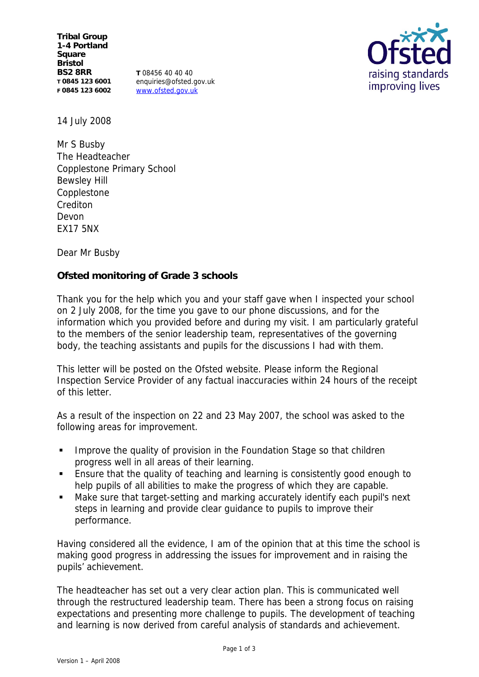**Tribal Group 1-4 Portland Square Bristol BS2 8RR T 0845 123 6001 F 0845 123 6002**

**T** 08456 40 40 40 enquiries@ofsted.gov.uk www.ofsted.gov.uk



14 July 2008

Mr S Busby The Headteacher Copplestone Primary School Bewsley Hill **Copplestone** Crediton Devon EX17 5NX

Dear Mr Busby

**Ofsted monitoring of Grade 3 schools** 

Thank you for the help which you and your staff gave when I inspected your school on 2 July 2008, for the time you gave to our phone discussions, and for the information which you provided before and during my visit. I am particularly grateful to the members of the senior leadership team, representatives of the governing body, the teaching assistants and pupils for the discussions I had with them.

This letter will be posted on the Ofsted website. Please inform the Regional Inspection Service Provider of any factual inaccuracies within 24 hours of the receipt of this letter.

As a result of the inspection on 22 and 23 May 2007, the school was asked to the following areas for improvement.

- **IMPROVE THE QUALITY OF PROVISION IN the Foundation Stage so that children** progress well in all areas of their learning.
- Ensure that the quality of teaching and learning is consistently good enough to help pupils of all abilities to make the progress of which they are capable.
- Make sure that target-setting and marking accurately identify each pupil's next steps in learning and provide clear guidance to pupils to improve their performance.

Having considered all the evidence, I am of the opinion that at this time the school is making good progress in addressing the issues for improvement and in raising the pupils' achievement.

The headteacher has set out a very clear action plan. This is communicated well through the restructured leadership team. There has been a strong focus on raising expectations and presenting more challenge to pupils. The development of teaching and learning is now derived from careful analysis of standards and achievement.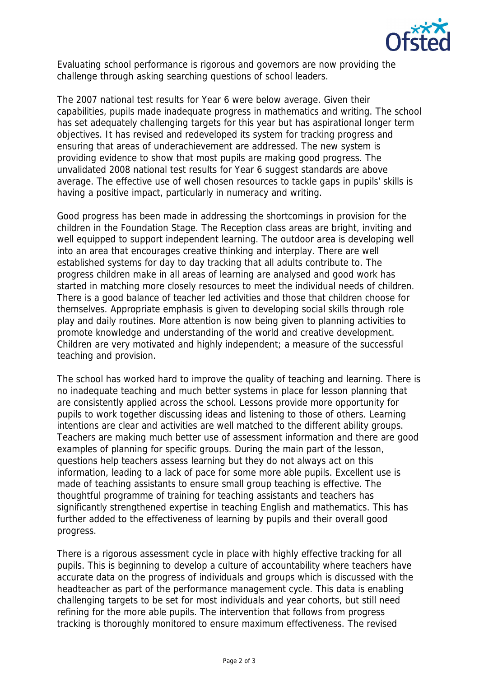

Evaluating school performance is rigorous and governors are now providing the challenge through asking searching questions of school leaders.

The 2007 national test results for Year 6 were below average. Given their capabilities, pupils made inadequate progress in mathematics and writing. The school has set adequately challenging targets for this year but has aspirational longer term objectives. It has revised and redeveloped its system for tracking progress and ensuring that areas of underachievement are addressed. The new system is providing evidence to show that most pupils are making good progress. The unvalidated 2008 national test results for Year 6 suggest standards are above average. The effective use of well chosen resources to tackle gaps in pupils' skills is having a positive impact, particularly in numeracy and writing.

Good progress has been made in addressing the shortcomings in provision for the children in the Foundation Stage. The Reception class areas are bright, inviting and well equipped to support independent learning. The outdoor area is developing well into an area that encourages creative thinking and interplay. There are well established systems for day to day tracking that all adults contribute to. The progress children make in all areas of learning are analysed and good work has started in matching more closely resources to meet the individual needs of children. There is a good balance of teacher led activities and those that children choose for themselves. Appropriate emphasis is given to developing social skills through role play and daily routines. More attention is now being given to planning activities to promote knowledge and understanding of the world and creative development. Children are very motivated and highly independent; a measure of the successful teaching and provision.

The school has worked hard to improve the quality of teaching and learning. There is no inadequate teaching and much better systems in place for lesson planning that are consistently applied across the school. Lessons provide more opportunity for pupils to work together discussing ideas and listening to those of others. Learning intentions are clear and activities are well matched to the different ability groups. Teachers are making much better use of assessment information and there are good examples of planning for specific groups. During the main part of the lesson, questions help teachers assess learning but they do not always act on this information, leading to a lack of pace for some more able pupils. Excellent use is made of teaching assistants to ensure small group teaching is effective. The thoughtful programme of training for teaching assistants and teachers has significantly strengthened expertise in teaching English and mathematics. This has further added to the effectiveness of learning by pupils and their overall good progress.

There is a rigorous assessment cycle in place with highly effective tracking for all pupils. This is beginning to develop a culture of accountability where teachers have accurate data on the progress of individuals and groups which is discussed with the headteacher as part of the performance management cycle. This data is enabling challenging targets to be set for most individuals and year cohorts, but still need refining for the more able pupils. The intervention that follows from progress tracking is thoroughly monitored to ensure maximum effectiveness. The revised